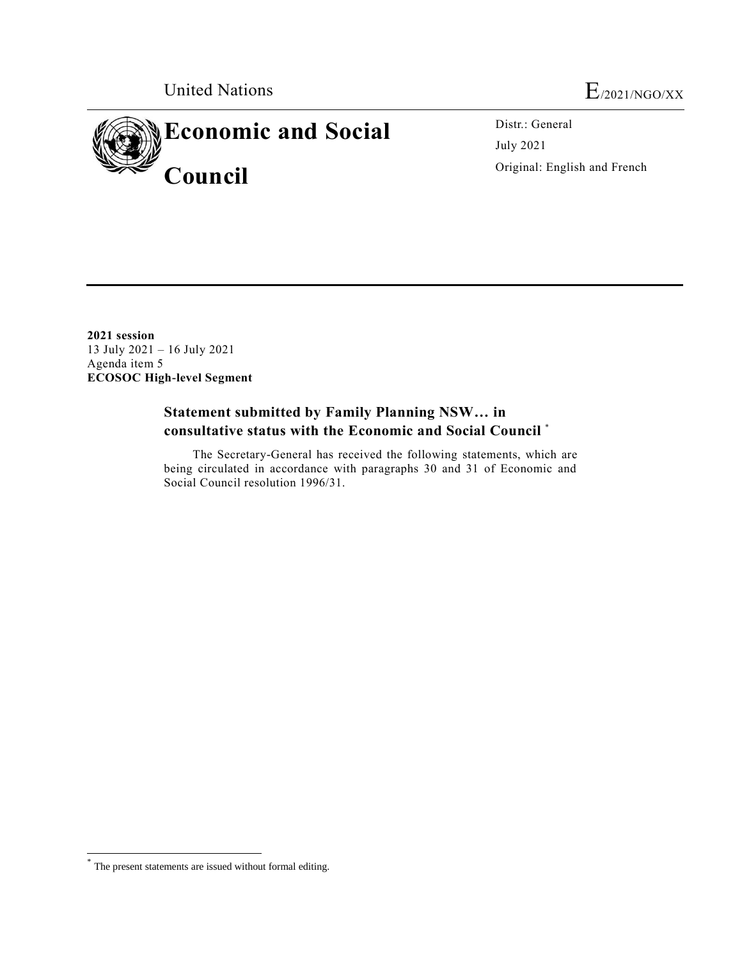

Distr.: General July 2021 Original: English and French

**2021 session** 13 July 2021 – 16 July 2021 Agenda item 5 **ECOSOC High-level Segment**

# **Statement submitted by Family Planning NSW… in consultative status with the Economic and Social Council** \*

The Secretary-General has received the following statements, which are being circulated in accordance with paragraphs 30 and 31 of Economic and Social Council resolution 1996/31.

 $\overline{a}$ 

<sup>\*</sup> The present statements are issued without formal editing.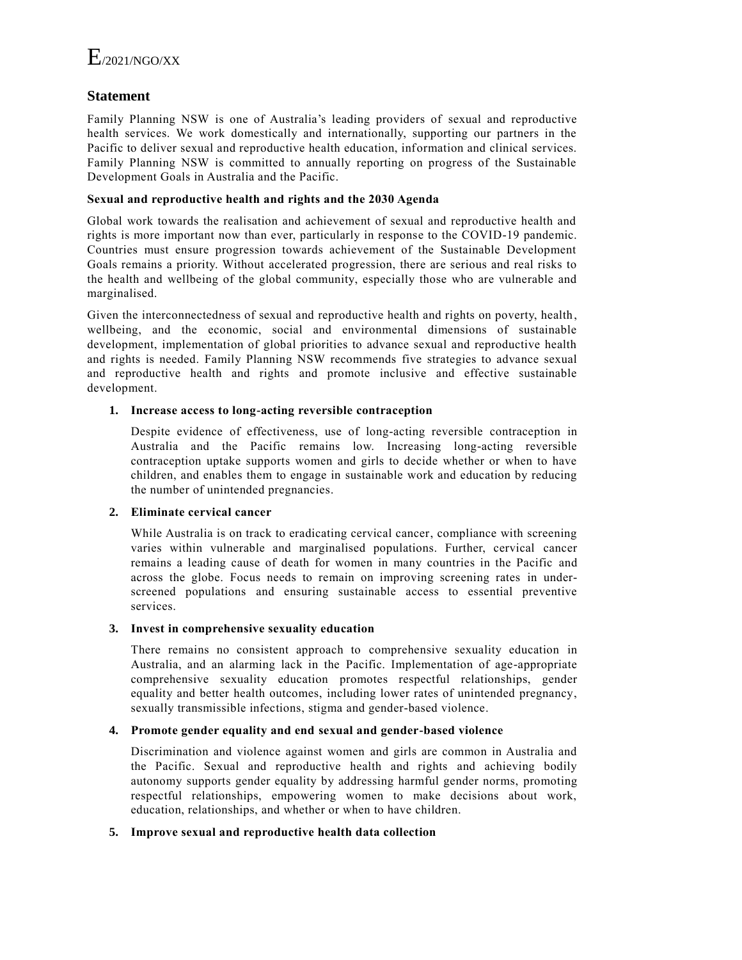## **Statement**

Family Planning NSW is one of Australia's leading providers of sexual and reproductive health services. We work domestically and internationally, supporting our partners in the Pacific to deliver sexual and reproductive health education, information and clinical services. Family Planning NSW is committed to annually reporting on progress of the Sustainable Development Goals in Australia and the Pacific.

#### **Sexual and reproductive health and rights and the 2030 Agenda**

Global work towards the realisation and achievement of sexual and reproductive health and rights is more important now than ever, particularly in response to the COVID-19 pandemic. Countries must ensure progression towards achievement of the Sustainable Development Goals remains a priority. Without accelerated progression, there are serious and real risks to the health and wellbeing of the global community, especially those who are vulnerable and marginalised.

Given the interconnectedness of sexual and reproductive health and rights on poverty, health, wellbeing, and the economic, social and environmental dimensions of sustainable development, implementation of global priorities to advance sexual and reproductive health and rights is needed. Family Planning NSW recommends five strategies to advance sexual and reproductive health and rights and promote inclusive and effective sustainable development.

### **1. Increase access to long-acting reversible contraception**

Despite evidence of effectiveness, use of long-acting reversible contraception in Australia and the Pacific remains low. Increasing long-acting reversible contraception uptake supports women and girls to decide whether or when to have children, and enables them to engage in sustainable work and education by reducing the number of unintended pregnancies.

#### **2. Eliminate cervical cancer**

While Australia is on track to eradicating cervical cancer, compliance with screening varies within vulnerable and marginalised populations. Further, cervical cancer remains a leading cause of death for women in many countries in the Pacific and across the globe. Focus needs to remain on improving screening rates in underscreened populations and ensuring sustainable access to essential preventive services.

#### **3. Invest in comprehensive sexuality education**

There remains no consistent approach to comprehensive sexuality education in Australia, and an alarming lack in the Pacific. Implementation of age-appropriate comprehensive sexuality education promotes respectful relationships, gender equality and better health outcomes, including lower rates of unintended pregnancy, sexually transmissible infections, stigma and gender-based violence.

#### **4. Promote gender equality and end sexual and gender-based violence**

Discrimination and violence against women and girls are common in Australia and the Pacific. Sexual and reproductive health and rights and achieving bodily autonomy supports gender equality by addressing harmful gender norms, promoting respectful relationships, empowering women to make decisions about work, education, relationships, and whether or when to have children.

#### **5. Improve sexual and reproductive health data collection**